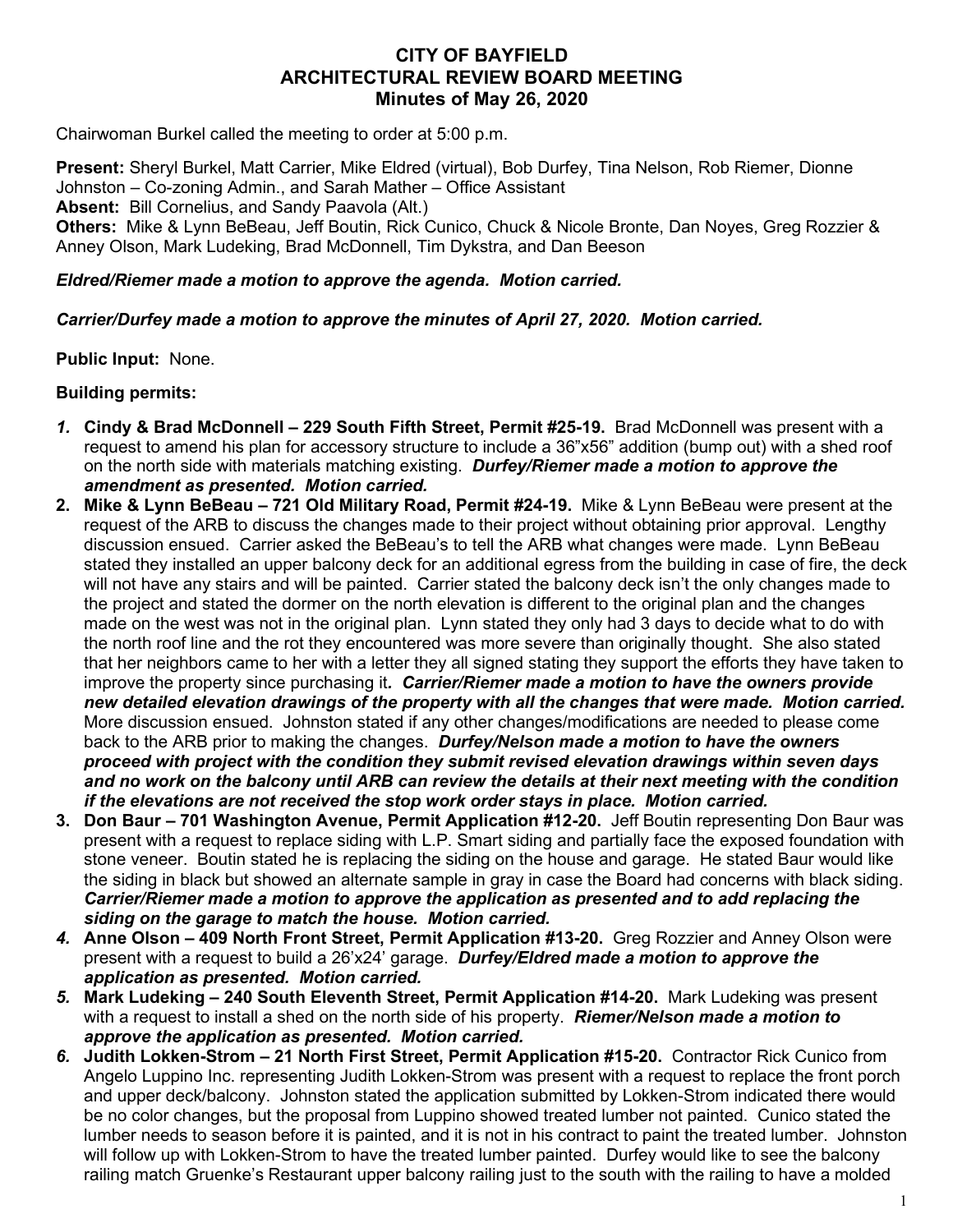## **CITY OF BAYFIELD ARCHITECTURAL REVIEW BOARD MEETING Minutes of May 26, 2020**

Chairwoman Burkel called the meeting to order at 5:00 p.m.

**Present:** Sheryl Burkel, Matt Carrier, Mike Eldred (virtual), Bob Durfey, Tina Nelson, Rob Riemer, Dionne Johnston – Co-zoning Admin., and Sarah Mather – Office Assistant **Absent:** Bill Cornelius, and Sandy Paavola (Alt.) **Others:** Mike & Lynn BeBeau, Jeff Boutin, Rick Cunico, Chuck & Nicole Bronte, Dan Noyes, Greg Rozzier & Anney Olson, Mark Ludeking, Brad McDonnell, Tim Dykstra, and Dan Beeson

## *Eldred/Riemer made a motion to approve the agenda. Motion carried.*

## *Carrier/Durfey made a motion to approve the minutes of April 27, 2020. Motion carried.*

**Public Input:** None.

## **Building permits:**

- *1.* **Cindy & Brad McDonnell – 229 South Fifth Street, Permit #25-19.** Brad McDonnell was present with a request to amend his plan for accessory structure to include a 36"x56" addition (bump out) with a shed roof on the north side with materials matching existing. *Durfey/Riemer made a motion to approve the amendment as presented. Motion carried.*
- **2. Mike & Lynn BeBeau – 721 Old Military Road, Permit #24-19.** Mike & Lynn BeBeau were present at the request of the ARB to discuss the changes made to their project without obtaining prior approval. Lengthy discussion ensued. Carrier asked the BeBeau's to tell the ARB what changes were made. Lynn BeBeau stated they installed an upper balcony deck for an additional egress from the building in case of fire, the deck will not have any stairs and will be painted. Carrier stated the balcony deck isn't the only changes made to the project and stated the dormer on the north elevation is different to the original plan and the changes made on the west was not in the original plan. Lynn stated they only had 3 days to decide what to do with the north roof line and the rot they encountered was more severe than originally thought. She also stated that her neighbors came to her with a letter they all signed stating they support the efforts they have taken to improve the property since purchasing it*. Carrier/Riemer made a motion to have the owners provide new detailed elevation drawings of the property with all the changes that were made. Motion carried.*  More discussion ensued. Johnston stated if any other changes/modifications are needed to please come back to the ARB prior to making the changes. *Durfey/Nelson made a motion to have the owners proceed with project with the condition they submit revised elevation drawings within seven days and no work on the balcony until ARB can review the details at their next meeting with the condition if the elevations are not received the stop work order stays in place. Motion carried.*
- **3. Don Baur – 701 Washington Avenue, Permit Application #12-20.** Jeff Boutin representing Don Baur was present with a request to replace siding with L.P. Smart siding and partially face the exposed foundation with stone veneer. Boutin stated he is replacing the siding on the house and garage. He stated Baur would like the siding in black but showed an alternate sample in gray in case the Board had concerns with black siding. *Carrier/Riemer made a motion to approve the application as presented and to add replacing the siding on the garage to match the house. Motion carried.*
- *4.* **Anne Olson – 409 North Front Street, Permit Application #13-20.** Greg Rozzier and Anney Olson were present with a request to build a 26'x24' garage. *Durfey/Eldred made a motion to approve the application as presented. Motion carried.*
- *5.* **Mark Ludeking – 240 South Eleventh Street, Permit Application #14-20.** Mark Ludeking was present with a request to install a shed on the north side of his property. *Riemer/Nelson made a motion to approve the application as presented. Motion carried.*
- *6.* **Judith Lokken-Strom – 21 North First Street, Permit Application #15-20.** Contractor Rick Cunico from Angelo Luppino Inc. representing Judith Lokken-Strom was present with a request to replace the front porch and upper deck/balcony. Johnston stated the application submitted by Lokken-Strom indicated there would be no color changes, but the proposal from Luppino showed treated lumber not painted. Cunico stated the lumber needs to season before it is painted, and it is not in his contract to paint the treated lumber. Johnston will follow up with Lokken-Strom to have the treated lumber painted. Durfey would like to see the balcony railing match Gruenke's Restaurant upper balcony railing just to the south with the railing to have a molded